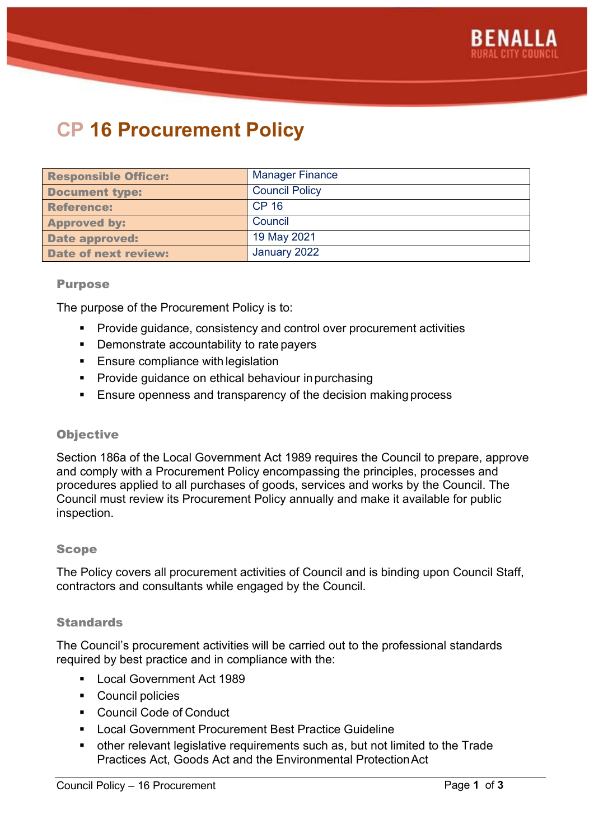

# **CP 16 Procurement Policy**

| <b>Responsible Officer:</b> | <b>Manager Finance</b> |
|-----------------------------|------------------------|
| <b>Document type:</b>       | <b>Council Policy</b>  |
| <b>Reference:</b>           | <b>CP 16</b>           |
| <b>Approved by:</b>         | Council                |
| <b>Date approved:</b>       | 19 May 2021            |
| <b>Date of next review:</b> | January 2022           |

#### Purpose

The purpose of the Procurement Policy is to:

- **Provide guidance, consistency and control over procurement activities**
- **•** Demonstrate accountability to rate payers
- **Ensure compliance with legislation**
- **Provide guidance on ethical behaviour in purchasing**
- **Ensure openness and transparency of the decision making process**

#### **Objective**

Section 186a of the Local Government Act 1989 requires the Council to prepare, approve and comply with a Procurement Policy encompassing the principles, processes and procedures applied to all purchases of goods, services and works by the Council. The Council must review its Procurement Policy annually and make it available for public inspection.

#### Scope

The Policy covers all procurement activities of Council and is binding upon Council Staff, contractors and consultants while engaged by the Council.

#### **Standards**

The Council's procurement activities will be carried out to the professional standards required by best practice and in compliance with the:

- **Local Government Act 1989**
- **Council policies**
- Council Code of Conduct
- **EXECT** Local Government Procurement Best Practice Guideline
- other relevant legislative requirements such as, but not limited to the Trade Practices Act, Goods Act and the Environmental ProtectionAct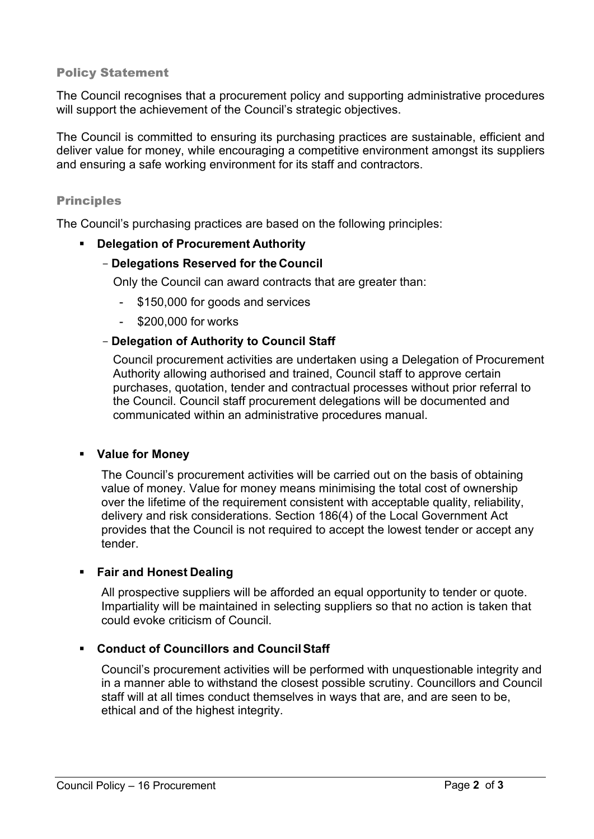# Policy Statement

The Council recognises that a procurement policy and supporting administrative procedures will support the achievement of the Council's strategic objectives.

The Council is committed to ensuring its purchasing practices are sustainable, efficient and deliver value for money, while encouraging a competitive environment amongst its suppliers and ensuring a safe working environment for its staff and contractors.

## Principles

The Council's purchasing practices are based on the following principles:

## **Delegation of Procurement Authority**

## - **Delegations Reserved for the Council**

Only the Council can award contracts that are greater than:

- \$150,000 for goods and services
- \$200,000 for works

# - **Delegation of Authority to Council Staff**

Council procurement activities are undertaken using a Delegation of Procurement Authority allowing authorised and trained, Council staff to approve certain purchases, quotation, tender and contractual processes without prior referral to the Council. Council staff procurement delegations will be documented and communicated within an administrative procedures manual.

## **Value for Money**

The Council's procurement activities will be carried out on the basis of obtaining value of money. Value for money means minimising the total cost of ownership over the lifetime of the requirement consistent with acceptable quality, reliability, delivery and risk considerations. Section 186(4) of the Local Government Act provides that the Council is not required to accept the lowest tender or accept any tender.

## **Fair and Honest Dealing**

All prospective suppliers will be afforded an equal opportunity to tender or quote. Impartiality will be maintained in selecting suppliers so that no action is taken that could evoke criticism of Council.

# **Conduct of Councillors and CouncilStaff**

Council's procurement activities will be performed with unquestionable integrity and in a manner able to withstand the closest possible scrutiny. Councillors and Council staff will at all times conduct themselves in ways that are, and are seen to be, ethical and of the highest integrity.